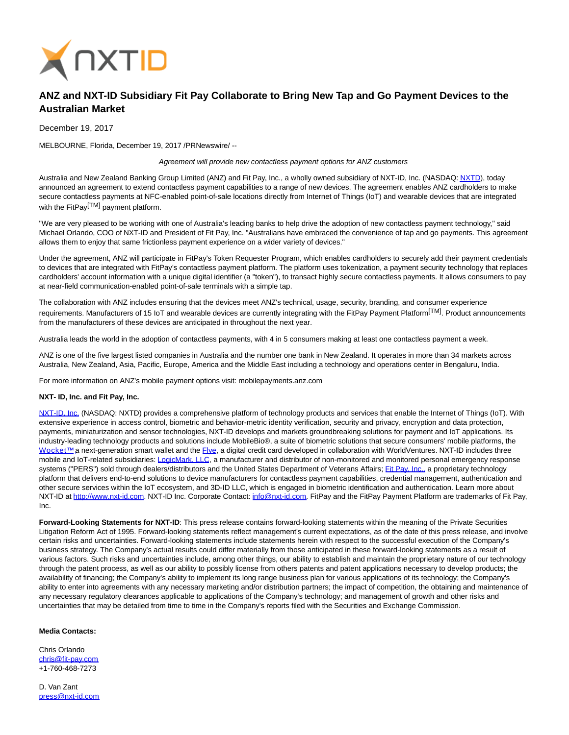

## **ANZ and NXT-ID Subsidiary Fit Pay Collaborate to Bring New Tap and Go Payment Devices to the Australian Market**

December 19, 2017

MELBOURNE, Florida, December 19, 2017 /PRNewswire/ --

## Agreement will provide new contactless payment options for ANZ customers

Australia and New Zealand Banking Group Limited (ANZ) and Fit Pay, Inc., a wholly owned subsidiary of NXT-ID, Inc. (NASDAQ[: NXTD\),](https://finance.yahoo.com/q?s=nxtd) today announced an agreement to extend contactless payment capabilities to a range of new devices. The agreement enables ANZ cardholders to make secure contactless payments at NFC-enabled point-of-sale locations directly from Internet of Things (IoT) and wearable devices that are integrated with the FitPay<sup>[TM]</sup> payment platform.

"We are very pleased to be working with one of Australia's leading banks to help drive the adoption of new contactless payment technology," said Michael Orlando, COO of NXT-ID and President of Fit Pay, Inc. "Australians have embraced the convenience of tap and go payments. This agreement allows them to enjoy that same frictionless payment experience on a wider variety of devices."

Under the agreement, ANZ will participate in FitPay's Token Requester Program, which enables cardholders to securely add their payment credentials to devices that are integrated with FitPay's contactless payment platform. The platform uses tokenization, a payment security technology that replaces cardholders' account information with a unique digital identifier (a "token"), to transact highly secure contactless payments. It allows consumers to pay at near-field communication-enabled point-of-sale terminals with a simple tap.

The collaboration with ANZ includes ensuring that the devices meet ANZ's technical, usage, security, branding, and consumer experience requirements. Manufacturers of 15 IoT and wearable devices are currently integrating with the FitPay Payment Platform<sup>[TM]</sup>. Product announcements from the manufacturers of these devices are anticipated in throughout the next year.

Australia leads the world in the adoption of contactless payments, with 4 in 5 consumers making at least one contactless payment a week.

ANZ is one of the five largest listed companies in Australia and the number one bank in New Zealand. It operates in more than 34 markets across Australia, New Zealand, Asia, Pacific, Europe, America and the Middle East including a technology and operations center in Bengaluru, India.

For more information on ANZ's mobile payment options visit: mobilepayments.anz.com

## **NXT- ID, Inc. and Fit Pay, Inc.**

[NXT-ID, Inc. \(](http://www.nxt-id.com/)NASDAQ: NXTD) provides a comprehensive platform of technology products and services that enable the Internet of Things (IoT). With extensive experience in access control, biometric and behavior-metric identity verification, security and privacy, encryption and data protection, payments, miniaturization and sensor technologies, NXT-ID develops and markets groundbreaking solutions for payment and IoT applications. Its industry-leading technology products and solutions include MobileBio®, a suite of biometric solutions that secure consumers' mobile platforms, the Wocket™ a next-generation smart wallet and the [Flye,](https://www.flye.com/) a digital credit card developed in collaboration with WorldVentures. NXT-ID includes three mobile and IoT-related subsidiaries: [LogicMark, LLC,](https://www.logicmark.com/) a manufacturer and distributor of non-monitored and monitored personal emergency response systems ("PERS") sold through dealers/distributors and the United States Department of Veterans Affairs; [Fit Pay, Inc., a](http://www.fit-pay.com/) proprietary technology platform that delivers end-to-end solutions to device manufacturers for contactless payment capabilities, credential management, authentication and other secure services within the IoT ecosystem, and 3D-ID LLC, which is engaged in biometric identification and authentication. Learn more about NXT-ID at [http://www.nxt-id.com.](http://www.nxt-id.com/) NXT-ID Inc. Corporate Contact: [info@nxt-id.com.](mailto:info@nxt-id.com) FitPay and the FitPay Payment Platform are trademarks of Fit Pay, Inc.

**Forward-Looking Statements for NXT-ID**: This press release contains forward-looking statements within the meaning of the Private Securities Litigation Reform Act of 1995. Forward-looking statements reflect management's current expectations, as of the date of this press release, and involve certain risks and uncertainties. Forward-looking statements include statements herein with respect to the successful execution of the Company's business strategy. The Company's actual results could differ materially from those anticipated in these forward-looking statements as a result of various factors. Such risks and uncertainties include, among other things, our ability to establish and maintain the proprietary nature of our technology through the patent process, as well as our ability to possibly license from others patents and patent applications necessary to develop products; the availability of financing; the Company's ability to implement its long range business plan for various applications of its technology; the Company's ability to enter into agreements with any necessary marketing and/or distribution partners; the impact of competition, the obtaining and maintenance of any necessary regulatory clearances applicable to applications of the Company's technology; and management of growth and other risks and uncertainties that may be detailed from time to time in the Company's reports filed with the Securities and Exchange Commission.

## **Media Contacts:**

Chris Orlando [chris@fit-pay.com](mailto:chris@fit-pay.com) +1-760-468-7273

D. Van Zant [press@nxt-id.com](mailto:press@nxt-id.com)